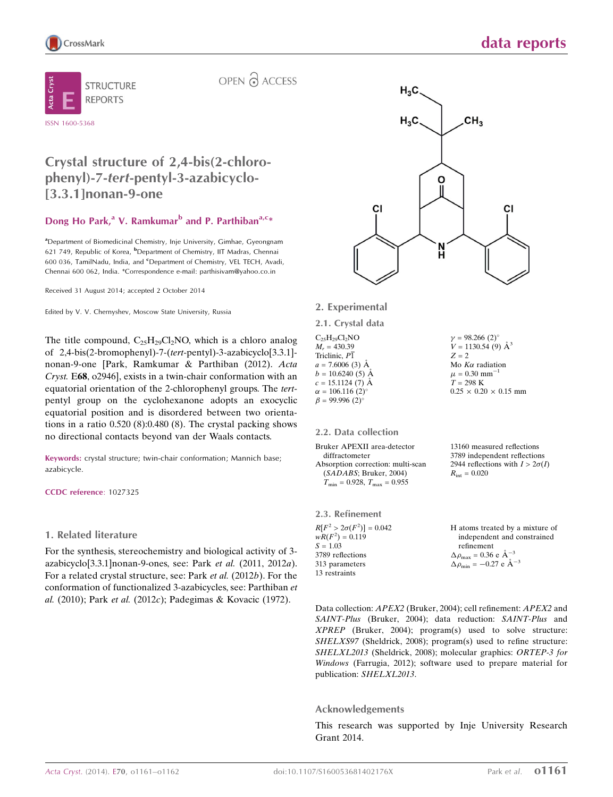

OPEN & ACCESS

### Crystal structure of 2,4-bis(2-chlorophenyl)-7-tert-pentyl-3-azabicyclo- [3.3.1]nonan-9-one

### Dong Ho Park,<sup>a</sup> V. Ramkumar<sup>b</sup> and P. Parthiban<sup>a,c\*</sup>

<sup>a</sup> Department of Biomedicinal Chemistry, Inje University, Gimhae, Gyeongnam 621 749, Republic of Korea, <sup>b</sup>Department of Chemistry, IIT Madras, Chennai 600 036, TamilNadu, India, and <sup>c</sup>Department of Chemistry, VEL TECH, Avadi, Chennai 600 062, India. \*Correspondence e-mail: parthisivam@yahoo.co.in

Received 31 August 2014; accepted 2 October 2014

Edited by V. V. Chernyshev, Moscow State University, Russia

The title compound,  $C_{25}H_{29}Cl_2NO$ , which is a chloro analog of 2,4-bis(2-bromophenyl)-7-(tert-pentyl)-3-azabicyclo[3.3.1] nonan-9-one [Park, Ramkumar & Parthiban (2012). Acta Cryst. E68, o2946], exists in a twin-chair conformation with an equatorial orientation of the 2-chlorophenyl groups. The tertpentyl group on the cyclohexanone adopts an exocyclic equatorial position and is disordered between two orientations in a ratio 0.520 (8):0.480 (8). The crystal packing shows no directional contacts beyond van der Waals contacts.

Keywords: crystal structure; twin-chair conformation; Mannich base; azabicycle.

CCDC reference: 1027325

### 1. Related literature

For the synthesis, stereochemistry and biological activity of 3 azabicyclo[3.3.1]nonan-9-ones, see: Park et al. (2011, 2012a). For a related crystal structure, see: Park et al. (2012b). For the conformation of functionalized 3-azabicycles, see: Parthiban et al. (2010); Park et al. (2012c); Padegimas & Kovacic (1972).



### 2. Experimental

2.1. Crystal data

 $C_{25}H_{29}Cl_2NO$  $M_r = 430.39$ Triclinic, P1  $a = 7.6006(3)$  Å  $b = 10.6240(5)$  Å  $c = 15.1124(7)$  Å  $\alpha = 106.116$  (2)<sup>o</sup>  $\beta = 99.996$  (2)<sup>o</sup>

### 2.2. Data collection

Bruker APEXII area-detector diffractometer Absorption correction: multi-scan (SADABS; Bruker, 2004)  $T_{\text{min}} = 0.928$ ,  $T_{\text{max}} = 0.955$ 

2.3. Refinement

 $R[F^2 > 2\sigma(F^2)] = 0.042$  $wR(F^2) = 0.119$  $S = 1.03$ 3789 reflections 313 parameters 13 restraints

13160 measured reflections 3789 independent reflections 2944 reflections with  $I > 2\sigma(I)$  $R_{\text{int}} = 0.020$ 

 $\gamma = 98.266$  (2)<sup>o</sup>  $V = 1130.54(9)$   $\AA^3$ 

Mo  $K\alpha$  radiation  $\mu = 0.30$  mm<sup>-</sup>  $T = 298$  K

 $0.25 \times 0.20 \times 0.15$  mm

 $Z = 2$ 

H atoms treated by a mixture of independent and constrained refinement  $\Delta \rho_{\text{max}} = 0.36 \text{ e A}^{-3}$  $\Delta \rho_{\text{min}} = -0.27 \text{ e } \text{\AA}^{-3}$ 

Data collection: APEX2 (Bruker, 2004); cell refinement: APEX2 and SAINT-Plus (Bruker, 2004); data reduction: SAINT-Plus and XPREP (Bruker, 2004); program(s) used to solve structure: SHELXS97 (Sheldrick, 2008); program(s) used to refine structure: SHELXL2013 (Sheldrick, 2008); molecular graphics: ORTEP-3 for Windows (Farrugia, 2012); software used to prepare material for publication: SHELXL2013.

### Acknowledgements

This research was supported by Inje University Research Grant 2014.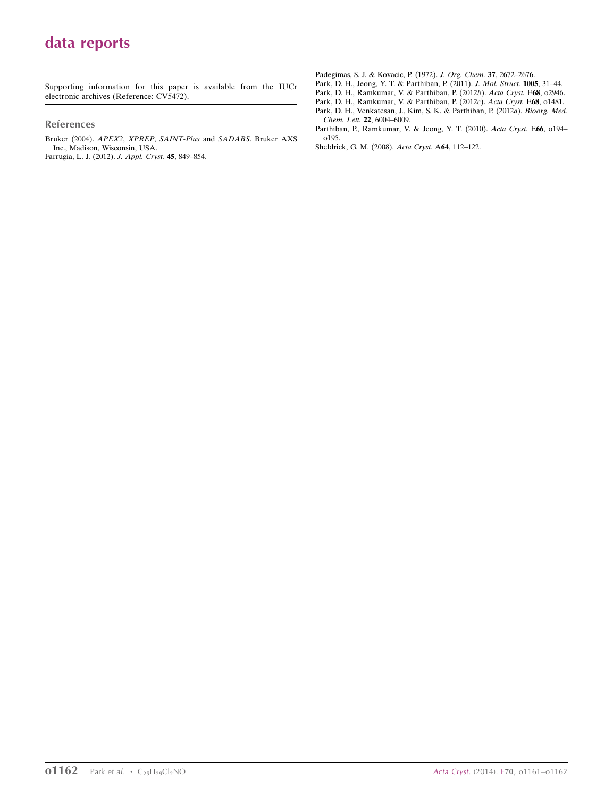Supporting information for this paper is available from the IUCr electronic archives (Reference: CV5472).

#### References

[Bruker \(2004\).](http://scripts.iucr.org/cgi-bin/cr.cgi?rm=pdfbb&cnor=cv5472&bbid=BB1) APEX2, XPREP, SAINT-Plus and SADABS. Bruker AXS [Inc., Madison, Wisconsin, USA.](http://scripts.iucr.org/cgi-bin/cr.cgi?rm=pdfbb&cnor=cv5472&bbid=BB1) [Farrugia, L. J. \(2012\).](http://scripts.iucr.org/cgi-bin/cr.cgi?rm=pdfbb&cnor=cv5472&bbid=BB2) J. Appl. Cryst. 45, 849–854.

[Padegimas, S. J. & Kovacic, P. \(1972\).](http://scripts.iucr.org/cgi-bin/cr.cgi?rm=pdfbb&cnor=cv5472&bbid=BB3) J. Org. Chem. 37, 2672–2676.

[Park, D. H., Jeong, Y. T. & Parthiban, P. \(2011\).](http://scripts.iucr.org/cgi-bin/cr.cgi?rm=pdfbb&cnor=cv5472&bbid=BB4) J. Mol. Struct. 1005, 31–44.

[Park, D. H., Ramkumar, V. & Parthiban, P. \(2012](http://scripts.iucr.org/cgi-bin/cr.cgi?rm=pdfbb&cnor=cv5472&bbid=BB5)b). Acta Cryst. E68, o2946.

[Park, D. H., Ramkumar, V. & Parthiban, P. \(2012](http://scripts.iucr.org/cgi-bin/cr.cgi?rm=pdfbb&cnor=cv5472&bbid=BB6)c). Acta Cryst. E68, o1481.

[Park, D. H., Venkatesan, J., Kim, S. K. & Parthiban, P. \(2012](http://scripts.iucr.org/cgi-bin/cr.cgi?rm=pdfbb&cnor=cv5472&bbid=BB7)a). Bioorg. Med. Chem. Lett. 22[, 6004–6009.](http://scripts.iucr.org/cgi-bin/cr.cgi?rm=pdfbb&cnor=cv5472&bbid=BB7)

[Parthiban, P., Ramkumar, V. & Jeong, Y. T. \(2010\).](http://scripts.iucr.org/cgi-bin/cr.cgi?rm=pdfbb&cnor=cv5472&bbid=BB8) Acta Cryst. E66, o194– [o195.](http://scripts.iucr.org/cgi-bin/cr.cgi?rm=pdfbb&cnor=cv5472&bbid=BB8)

[Sheldrick, G. M. \(2008\).](http://scripts.iucr.org/cgi-bin/cr.cgi?rm=pdfbb&cnor=cv5472&bbid=BB9) Acta Cryst. A64, 112–122.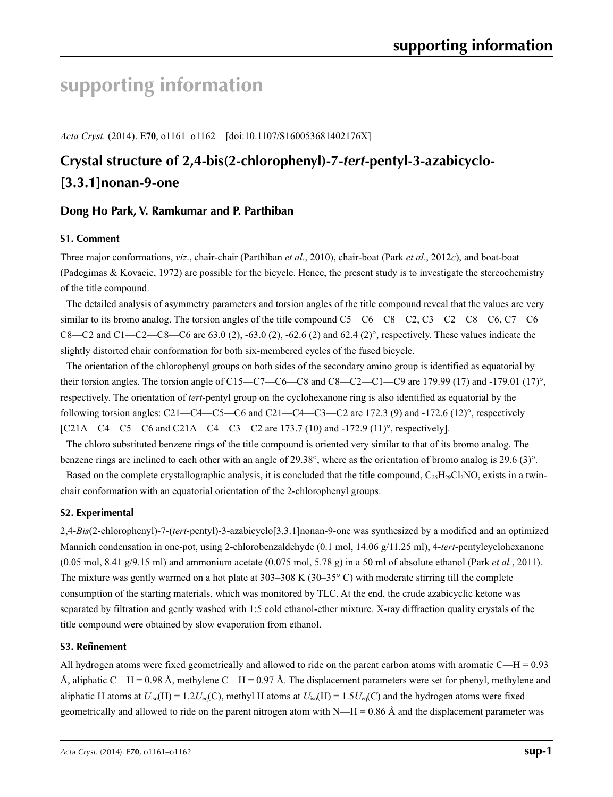# **supporting information**

*Acta Cryst.* (2014). E**70**, o1161–o1162 [doi:10.1107/S160053681402176X]

## **Crystal structure of 2,4-bis(2-chlorophenyl)-7-***tert***-pentyl-3-azabicyclo- [3.3.1]nonan-9-one**

### **Dong Ho Park, V. Ramkumar and P. Parthiban**

### **S1. Comment**

Three major conformations, *viz*., chair-chair (Parthiban *et al.*, 2010), chair-boat (Park *et al.*, 2012*c*), and boat-boat (Padegimas & Kovacic, 1972) are possible for the bicycle. Hence, the present study is to investigate the stereochemistry of the title compound.

The detailed analysis of asymmetry parameters and torsion angles of the title compound reveal that the values are very similar to its bromo analog. The torsion angles of the title compound C5—C6—C8—C2, C3—C2—C8—C6, C7—C6— C8—C2 and C1—C2—C8—C6 are 63.0 (2), -63.0 (2), -62.6 (2) and 62.4 (2)°, respectively. These values indicate the slightly distorted chair conformation for both six-membered cycles of the fused bicycle.

The orientation of the chlorophenyl groups on both sides of the secondary amino group is identified as equatorial by their torsion angles. The torsion angle of C15—C7—C6—C8 and C8—C2—C1—C9 are 179.99 (17) and -179.01 (17)°, respectively. The orientation of *tert*-pentyl group on the cyclohexanone ring is also identified as equatorial by the following torsion angles: C21—C4—C5—C6 and C21—C4—C3—C2 are 172.3 (9) and -172.6 (12)°, respectively [C21A—C4—C5—C6 and C21A—C4—C3—C2 are 173.7 (10) and -172.9 (11)°, respectively].

The chloro substituted benzene rings of the title compound is oriented very similar to that of its bromo analog. The benzene rings are inclined to each other with an angle of 29.38°, where as the orientation of bromo analog is 29.6 (3)°.

Based on the complete crystallographic analysis, it is concluded that the title compound,  $C_{25}H_{29}Cl_{2}NO$ , exists in a twinchair conformation with an equatorial orientation of the 2-chlorophenyl groups.

### **S2. Experimental**

2,4-*Bis*(2-chlorophenyl)-7-(*tert*-pentyl)-3-azabicyclo[3.3.1]nonan-9-one was synthesized by a modified and an optimized Mannich condensation in one-pot, using 2-chlorobenzaldehyde (0.1 mol, 14.06 g/11.25 ml), 4-*tert*-pentylcyclohexanone (0.05 mol, 8.41 g/9.15 ml) and ammonium acetate (0.075 mol, 5.78 g) in a 50 ml of absolute ethanol (Park *et al.*, 2011). The mixture was gently warmed on a hot plate at 303–308 K (30–35° C) with moderate stirring till the complete consumption of the starting materials, which was monitored by TLC. At the end, the crude azabicyclic ketone was separated by filtration and gently washed with 1:5 cold ethanol-ether mixture. X-ray diffraction quality crystals of the title compound were obtained by slow evaporation from ethanol.

### **S3. Refinement**

All hydrogen atoms were fixed geometrically and allowed to ride on the parent carbon atoms with aromatic  $C$ —H = 0.93 Å, aliphatic C—H = 0.98 Å, methylene C—H = 0.97 Å. The displacement parameters were set for phenyl, methylene and aliphatic H atoms at  $U_{iso}(H) = 1.2U_{eq}(C)$ , methyl H atoms at  $U_{iso}(H) = 1.5U_{eq}(C)$  and the hydrogen atoms were fixed geometrically and allowed to ride on the parent nitrogen atom with  $N-H = 0.86 \text{ Å}$  and the displacement parameter was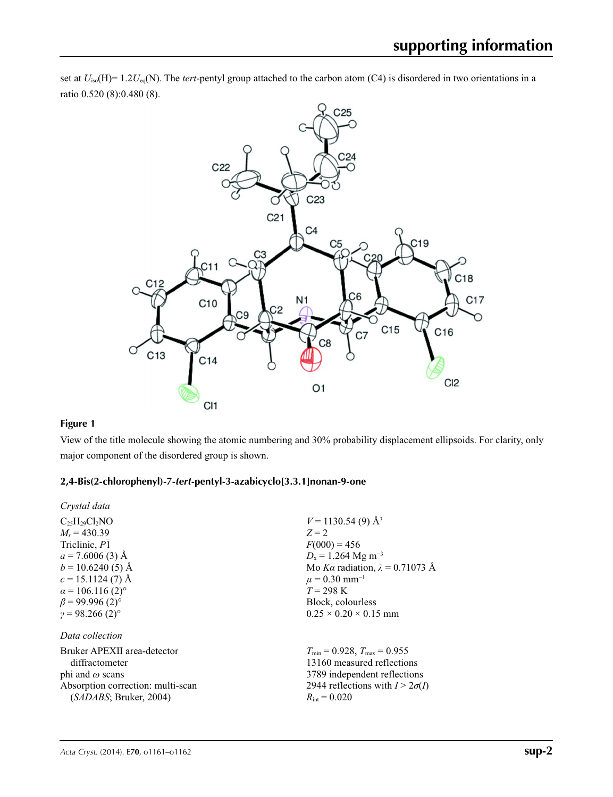

set at  $U_{iso}(H)$ = 1.2 $U_{eq}(N)$ . The *tert*-pentyl group attached to the carbon atom (C4) is disordered in two orientations in a ratio 0.520 (8):0.480 (8).

### **Figure 1**

View of the title molecule showing the atomic numbering and 30% probability displacement ellipsoids. For clarity, only major component of the disordered group is shown.

### **2,4-Bis(2-chlorophenyl)-7-***tert***-pentyl-3-azabicyclo[3.3.1]nonan-9-one**

| Crystal data                        |                                         |
|-------------------------------------|-----------------------------------------|
| $C_{25}H_{29}Cl_2NO$                | $V = 1130.54(9)$ Å <sup>3</sup>         |
| $M_r = 430.39$                      | $Z = 2$                                 |
| Triclinic, P1                       | $F(000) = 456$                          |
| $a = 7.6006(3)$ Å                   | $D_x = 1.264$ Mg m <sup>-3</sup>        |
| $b = 10.6240(5)$ Å                  | Mo Ka radiation, $\lambda = 0.71073$ Å  |
| $c = 15.1124(7)$ Å                  | $\mu$ = 0.30 mm <sup>-1</sup>           |
| $\alpha$ = 106.116 (2) <sup>o</sup> | $T = 298 \text{ K}$                     |
| $\beta$ = 99.996 (2) <sup>o</sup>   | Block, colourless                       |
| $\gamma = 98.266(2)$ °              | $0.25 \times 0.20 \times 0.15$ mm       |
| Data collection                     |                                         |
| Bruker APEXII area-detector         | $T_{\min} = 0.928$ , $T_{\max} = 0.955$ |
| diffractometer                      | 13160 measured reflections              |
| phi and $\omega$ scans              | 3789 independent reflections            |
| Absorption correction: multi-scan   | 2944 reflections with $I > 2\sigma(I)$  |
| (SADABS; Bruker, 2004)              | $R_{\rm int} = 0.020$                   |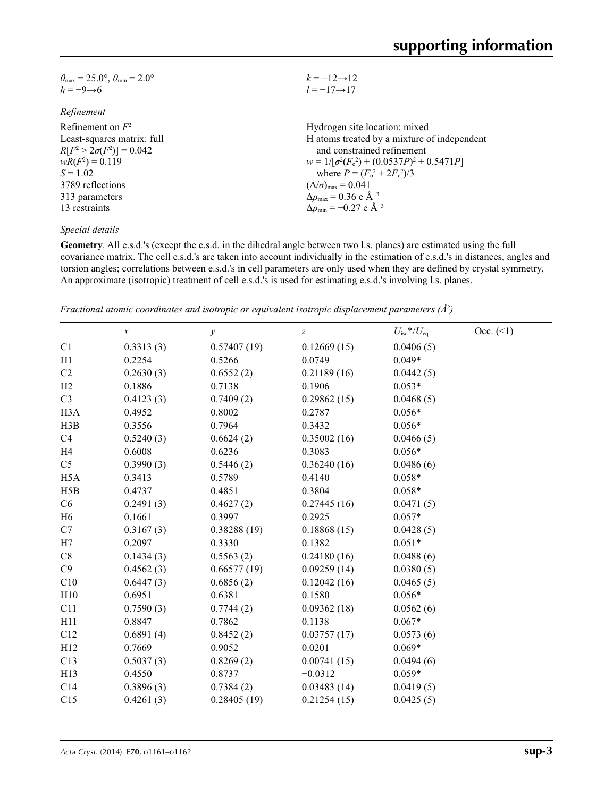| $\theta_{\text{max}} = 25.0^{\circ}$ , $\theta_{\text{min}} = 2.0^{\circ}$ | $k = -12 \rightarrow 12$                           |
|----------------------------------------------------------------------------|----------------------------------------------------|
| $h = -9 \rightarrow 6$                                                     | $l = -17 \rightarrow 17$                           |
| Refinement                                                                 |                                                    |
| Refinement on $F^2$                                                        | Hydrogen site location: mixed                      |
| Least-squares matrix: full                                                 | H atoms treated by a mixture of independent        |
| $R[F^2 > 2\sigma(F^2)] = 0.042$                                            | and constrained refinement                         |
| $wR(F^2) = 0.119$                                                          | $w = 1/[\sigma^2(F_0^2) + (0.0537P)^2 + 0.5471P]$  |
| $S = 1.02$                                                                 | where $P = (F_o^2 + 2F_c^2)/3$                     |
| 3789 reflections                                                           | $(\Delta/\sigma)_{\text{max}} = 0.041$             |
| 313 parameters                                                             | $\Delta\rho_{\text{max}} = 0.36$ e Å <sup>-3</sup> |
| 13 restraints                                                              | $\Delta\rho_{\rm min}$ = -0.27 e Å <sup>-3</sup>   |
|                                                                            |                                                    |

### *Special details*

**Geometry**. All e.s.d.'s (except the e.s.d. in the dihedral angle between two l.s. planes) are estimated using the full covariance matrix. The cell e.s.d.'s are taken into account individually in the estimation of e.s.d.'s in distances, angles and torsion angles; correlations between e.s.d.'s in cell parameters are only used when they are defined by crystal symmetry. An approximate (isotropic) treatment of cell e.s.d.'s is used for estimating e.s.d.'s involving l.s. planes.

*Fractional atomic coordinates and isotropic or equivalent isotropic displacement parameters (Å2 )*

|                  | $\boldsymbol{\chi}$ | $\mathcal{Y}$ | Z           | $U_{\rm iso}*/U_{\rm eq}$ | Occ. (2) |
|------------------|---------------------|---------------|-------------|---------------------------|----------|
| C1               | 0.3313(3)           | 0.57407(19)   | 0.12669(15) | 0.0406(5)                 |          |
| H1               | 0.2254              | 0.5266        | 0.0749      | $0.049*$                  |          |
| C2               | 0.2630(3)           | 0.6552(2)     | 0.21189(16) | 0.0442(5)                 |          |
| H2               | 0.1886              | 0.7138        | 0.1906      | $0.053*$                  |          |
| C <sub>3</sub>   | 0.4123(3)           | 0.7409(2)     | 0.29862(15) | 0.0468(5)                 |          |
| H <sub>3</sub> A | 0.4952              | 0.8002        | 0.2787      | $0.056*$                  |          |
| H3B              | 0.3556              | 0.7964        | 0.3432      | $0.056*$                  |          |
| C4               | 0.5240(3)           | 0.6624(2)     | 0.35002(16) | 0.0466(5)                 |          |
| H4               | 0.6008              | 0.6236        | 0.3083      | $0.056*$                  |          |
| C <sub>5</sub>   | 0.3990(3)           | 0.5446(2)     | 0.36240(16) | 0.0486(6)                 |          |
| H <sub>5</sub> A | 0.3413              | 0.5789        | 0.4140      | $0.058*$                  |          |
| H5B              | 0.4737              | 0.4851        | 0.3804      | $0.058*$                  |          |
| C6               | 0.2491(3)           | 0.4627(2)     | 0.27445(16) | 0.0471(5)                 |          |
| H <sub>6</sub>   | 0.1661              | 0.3997        | 0.2925      | $0.057*$                  |          |
| C7               | 0.3167(3)           | 0.38288(19)   | 0.18868(15) | 0.0428(5)                 |          |
| H7               | 0.2097              | 0.3330        | 0.1382      | $0.051*$                  |          |
| C8               | 0.1434(3)           | 0.5563(2)     | 0.24180(16) | 0.0488(6)                 |          |
| C9               | 0.4562(3)           | 0.66577(19)   | 0.09259(14) | 0.0380(5)                 |          |
| C10              | 0.6447(3)           | 0.6856(2)     | 0.12042(16) | 0.0465(5)                 |          |
| H10              | 0.6951              | 0.6381        | 0.1580      | $0.056*$                  |          |
| C11              | 0.7590(3)           | 0.7744(2)     | 0.09362(18) | 0.0562(6)                 |          |
| H11              | 0.8847              | 0.7862        | 0.1138      | $0.067*$                  |          |
| C12              | 0.6891(4)           | 0.8452(2)     | 0.03757(17) | 0.0573(6)                 |          |
| H <sub>12</sub>  | 0.7669              | 0.9052        | 0.0201      | $0.069*$                  |          |
| C13              | 0.5037(3)           | 0.8269(2)     | 0.00741(15) | 0.0494(6)                 |          |
| H13              | 0.4550              | 0.8737        | $-0.0312$   | $0.059*$                  |          |
| C14              | 0.3896(3)           | 0.7384(2)     | 0.03483(14) | 0.0419(5)                 |          |
| C15              | 0.4261(3)           | 0.28405(19)   | 0.21254(15) | 0.0425(5)                 |          |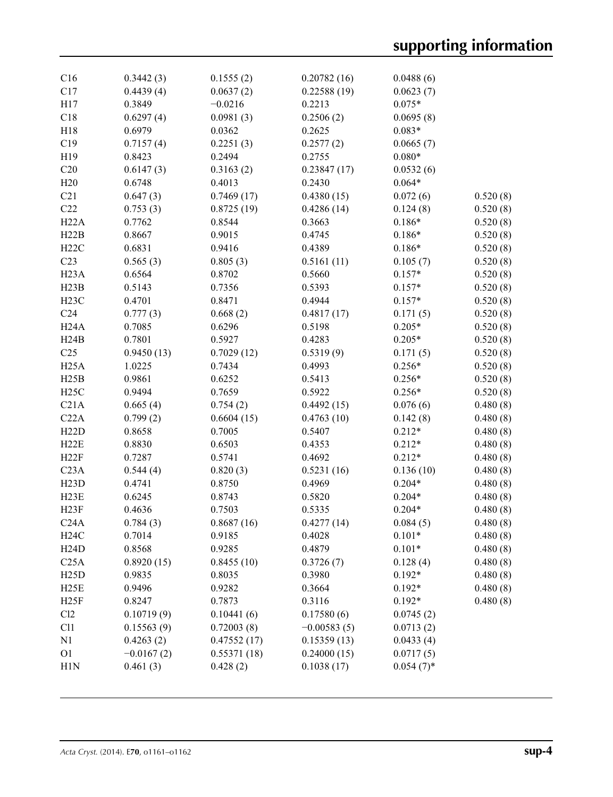| C16               | 0.3442(3)    | 0.1555(2)   | 0.20782(16)   | 0.0488(6)    |          |
|-------------------|--------------|-------------|---------------|--------------|----------|
| C17               | 0.4439(4)    | 0.0637(2)   | 0.22588(19)   | 0.0623(7)    |          |
| H17               | 0.3849       | $-0.0216$   | 0.2213        | $0.075*$     |          |
| C18               | 0.6297(4)    | 0.0981(3)   | 0.2506(2)     | 0.0695(8)    |          |
| H18               | 0.6979       | 0.0362      | 0.2625        | $0.083*$     |          |
| C19               | 0.7157(4)    | 0.2251(3)   | 0.2577(2)     | 0.0665(7)    |          |
| H19               | 0.8423       | 0.2494      | 0.2755        | $0.080*$     |          |
| C20               | 0.6147(3)    | 0.3163(2)   | 0.23847(17)   | 0.0532(6)    |          |
| H20               | 0.6748       | 0.4013      | 0.2430        | $0.064*$     |          |
| C21               | 0.647(3)     | 0.7469(17)  | 0.4380(15)    | 0.072(6)     | 0.520(8) |
| C22               | 0.753(3)     | 0.8725(19)  | 0.4286(14)    | 0.124(8)     | 0.520(8) |
| H22A              | 0.7762       | 0.8544      | 0.3663        | $0.186*$     | 0.520(8) |
| H22B              | 0.8667       | 0.9015      | 0.4745        | $0.186*$     | 0.520(8) |
| H22C              | 0.6831       | 0.9416      | 0.4389        | $0.186*$     | 0.520(8) |
| C <sub>23</sub>   | 0.565(3)     | 0.805(3)    | 0.5161(11)    | 0.105(7)     | 0.520(8) |
| H <sub>23</sub> A | 0.6564       | 0.8702      | 0.5660        | $0.157*$     | 0.520(8) |
| H23B              | 0.5143       | 0.7356      | 0.5393        | $0.157*$     | 0.520(8) |
| H23C              | 0.4701       | 0.8471      | 0.4944        | $0.157*$     | 0.520(8) |
| C <sub>24</sub>   | 0.777(3)     | 0.668(2)    | 0.4817(17)    | 0.171(5)     | 0.520(8) |
| H <sub>24</sub> A | 0.7085       | 0.6296      | 0.5198        | $0.205*$     | 0.520(8) |
| H24B              | 0.7801       | 0.5927      | 0.4283        | $0.205*$     | 0.520(8) |
| C <sub>25</sub>   | 0.9450(13)   | 0.7029(12)  | 0.5319(9)     | 0.171(5)     | 0.520(8) |
| H25A              | 1.0225       | 0.7434      | 0.4993        | $0.256*$     | 0.520(8) |
| H25B              | 0.9861       | 0.6252      | 0.5413        | $0.256*$     | 0.520(8) |
| H25C              | 0.9494       | 0.7659      | 0.5922        | $0.256*$     | 0.520(8) |
| C21A              | 0.665(4)     | 0.754(2)    | 0.4492(15)    | 0.076(6)     | 0.480(8) |
| C22A              | 0.799(2)     | 0.6604(15)  | 0.4763(10)    | 0.142(8)     | 0.480(8) |
| H22D              | 0.8658       | 0.7005      | 0.5407        | $0.212*$     | 0.480(8) |
| H22E              | 0.8830       | 0.6503      | 0.4353        | $0.212*$     | 0.480(8) |
| H22F              | 0.7287       | 0.5741      | 0.4692        | $0.212*$     | 0.480(8) |
| C <sub>23A</sub>  | 0.544(4)     | 0.820(3)    | 0.5231(16)    | 0.136(10)    | 0.480(8) |
| H23D              | 0.4741       | 0.8750      | 0.4969        | $0.204*$     | 0.480(8) |
| H23E              | 0.6245       | 0.8743      | 0.5820        | $0.204*$     | 0.480(8) |
| H23F              | 0.4636       | 0.7503      | 0.5335        | $0.204*$     | 0.480(8) |
| C24A              | 0.784(3)     | 0.8687(16)  | 0.4277(14)    | 0.084(5)     | 0.480(8) |
| H24C              | 0.7014       | 0.9185      | 0.4028        | $0.101*$     | 0.480(8) |
| H24D              | 0.8568       | 0.9285      | 0.4879        | $0.101*$     | 0.480(8) |
| C25A              | 0.8920(15)   | 0.8455(10)  | 0.3726(7)     | 0.128(4)     | 0.480(8) |
| H25D              | 0.9835       | 0.8035      | 0.3980        | $0.192*$     | 0.480(8) |
| H25E              | 0.9496       | 0.9282      | 0.3664        | $0.192*$     | 0.480(8) |
| H25F              | 0.8247       | 0.7873      | 0.3116        | $0.192*$     | 0.480(8) |
| Cl2               | 0.10719(9)   | 0.10441(6)  | 0.17580(6)    | 0.0745(2)    |          |
| C11               | 0.15563(9)   | 0.72003(8)  | $-0.00583(5)$ | 0.0713(2)    |          |
| N1                | 0.4263(2)    | 0.47552(17) | 0.15359(13)   | 0.0433(4)    |          |
| O <sub>1</sub>    | $-0.0167(2)$ | 0.55371(18) | 0.24000(15)   | 0.0717(5)    |          |
| H <sub>1</sub> N  | 0.461(3)     | 0.428(2)    | 0.1038(17)    | $0.054(7)$ * |          |
|                   |              |             |               |              |          |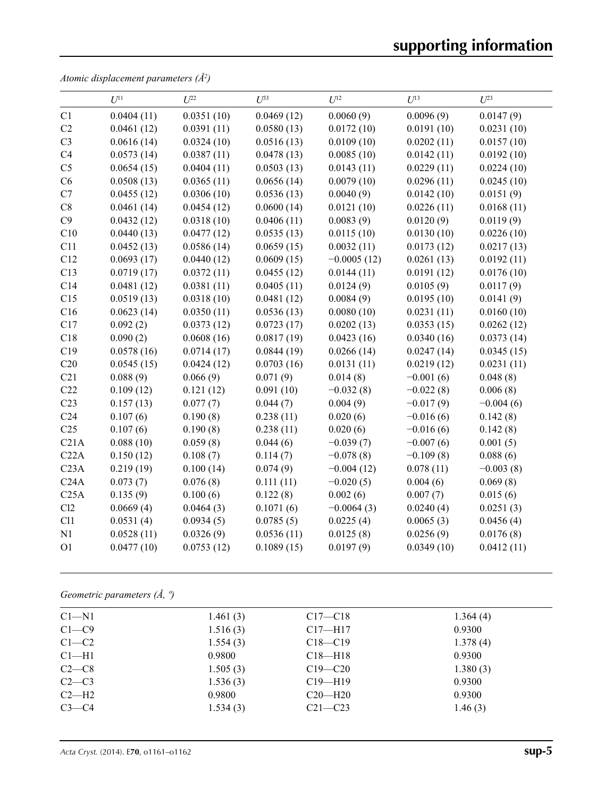*Atomic displacement parameters (Å2 )*

|                  | $U^{11}$   | I/22       | $\overline{L^{33}}$ | $U^{12}$      | $U^{13}$    | $U^{23}$    |
|------------------|------------|------------|---------------------|---------------|-------------|-------------|
| C1               | 0.0404(11) | 0.0351(10) | 0.0469(12)          | 0.0060(9)     | 0.0096(9)   | 0.0147(9)   |
| C2               | 0.0461(12) | 0.0391(11) | 0.0580(13)          | 0.0172(10)    | 0.0191(10)  | 0.0231(10)  |
| C <sub>3</sub>   | 0.0616(14) | 0.0324(10) | 0.0516(13)          | 0.0109(10)    | 0.0202(11)  | 0.0157(10)  |
| C4               | 0.0573(14) | 0.0387(11) | 0.0478(13)          | 0.0085(10)    | 0.0142(11)  | 0.0192(10)  |
| C <sub>5</sub>   | 0.0654(15) | 0.0404(11) | 0.0503(13)          | 0.0143(11)    | 0.0229(11)  | 0.0224(10)  |
| C6               | 0.0508(13) | 0.0365(11) | 0.0656(14)          | 0.0079(10)    | 0.0296(11)  | 0.0245(10)  |
| C7               | 0.0455(12) | 0.0306(10) | 0.0536(13)          | 0.0040(9)     | 0.0142(10)  | 0.0151(9)   |
| C8               | 0.0461(14) | 0.0454(12) | 0.0600(14)          | 0.0121(10)    | 0.0226(11)  | 0.0168(11)  |
| C9               | 0.0432(12) | 0.0318(10) | 0.0406(11)          | 0.0083(9)     | 0.0120(9)   | 0.0119(9)   |
| C10              | 0.0440(13) | 0.0477(12) | 0.0535(13)          | 0.0115(10)    | 0.0130(10)  | 0.0226(10)  |
| C11              | 0.0452(13) | 0.0586(14) | 0.0659(15)          | 0.0032(11)    | 0.0173(12)  | 0.0217(13)  |
| C12              | 0.0693(17) | 0.0440(12) | 0.0609(15)          | $-0.0005(12)$ | 0.0261(13)  | 0.0192(11)  |
| C13              | 0.0719(17) | 0.0372(11) | 0.0455(12)          | 0.0144(11)    | 0.0191(12)  | 0.0176(10)  |
| C14              | 0.0481(12) | 0.0381(11) | 0.0405(11)          | 0.0124(9)     | 0.0105(9)   | 0.0117(9)   |
| C15              | 0.0519(13) | 0.0318(10) | 0.0481(12)          | 0.0084(9)     | 0.0195(10)  | 0.0141(9)   |
| C16              | 0.0623(14) | 0.0350(11) | 0.0536(13)          | 0.0080(10)    | 0.0231(11)  | 0.0160(10)  |
| C17              | 0.092(2)   | 0.0373(12) | 0.0723(17)          | 0.0202(13)    | 0.0353(15)  | 0.0262(12)  |
| C18              | 0.090(2)   | 0.0608(16) | 0.0817(19)          | 0.0423(16)    | 0.0340(16)  | 0.0373(14)  |
| C19              | 0.0578(16) | 0.0714(17) | 0.0844(19)          | 0.0266(14)    | 0.0247(14)  | 0.0345(15)  |
| C20              | 0.0545(15) | 0.0424(12) | 0.0703(16)          | 0.0131(11)    | 0.0219(12)  | 0.0231(11)  |
| C21              | 0.088(9)   | 0.066(9)   | 0.071(9)            | 0.014(8)      | $-0.001(6)$ | 0.048(8)    |
| C22              | 0.109(12)  | 0.121(12)  | 0.091(10)           | $-0.032(8)$   | $-0.022(8)$ | 0.006(8)    |
| C <sub>23</sub>  | 0.157(13)  | 0.077(7)   | 0.044(7)            | 0.004(9)      | $-0.017(9)$ | $-0.004(6)$ |
| C <sub>24</sub>  | 0.107(6)   | 0.190(8)   | 0.238(11)           | 0.020(6)      | $-0.016(6)$ | 0.142(8)    |
| C <sub>25</sub>  | 0.107(6)   | 0.190(8)   | 0.238(11)           | 0.020(6)      | $-0.016(6)$ | 0.142(8)    |
| C21A             | 0.088(10)  | 0.059(8)   | 0.044(6)            | $-0.039(7)$   | $-0.007(6)$ | 0.001(5)    |
| C22A             | 0.150(12)  | 0.108(7)   | 0.114(7)            | $-0.078(8)$   | $-0.109(8)$ | 0.088(6)    |
| C <sub>23A</sub> | 0.219(19)  | 0.100(14)  | 0.074(9)            | $-0.004(12)$  | 0.078(11)   | $-0.003(8)$ |
| C24A             | 0.073(7)   | 0.076(8)   | 0.111(11)           | $-0.020(5)$   | 0.004(6)    | 0.069(8)    |
| C25A             | 0.135(9)   | 0.100(6)   | 0.122(8)            | 0.002(6)      | 0.007(7)    | 0.015(6)    |
| C12              | 0.0669(4)  | 0.0464(3)  | 0.1071(6)           | $-0.0064(3)$  | 0.0240(4)   | 0.0251(3)   |
| C11              | 0.0531(4)  | 0.0934(5)  | 0.0785(5)           | 0.0225(4)     | 0.0065(3)   | 0.0456(4)   |
| N1               | 0.0528(11) | 0.0326(9)  | 0.0536(11)          | 0.0125(8)     | 0.0256(9)   | 0.0176(8)   |
| O <sub>1</sub>   | 0.0477(10) | 0.0753(12) | 0.1089(15)          | 0.0197(9)     | 0.0349(10)  | 0.0412(11)  |

*Geometric parameters (Å, º)*

| $C1 - N1$ | 1.461 $(3)$ | $C17 - C18$ | 1.364(4) |  |
|-----------|-------------|-------------|----------|--|
| $C1 - C9$ | 1.516(3)    | $C17 - H17$ | 0.9300   |  |
| $C1-C2$   | 1.554(3)    | $C18 - C19$ | 1.378(4) |  |
| $Cl-H1$   | 0.9800      | $C18 - H18$ | 0.9300   |  |
| $C2-C8$   | 1.505(3)    | $C19 - C20$ | 1.380(3) |  |
| $C2-C3$   | 1.536(3)    | $C19 - H19$ | 0.9300   |  |
| $C2-H2$   | 0.9800      | $C20-H20$   | 0.9300   |  |
| $C3-C4$   | 1.534(3)    | $C21 - C23$ | 1.46(3)  |  |
|           |             |             |          |  |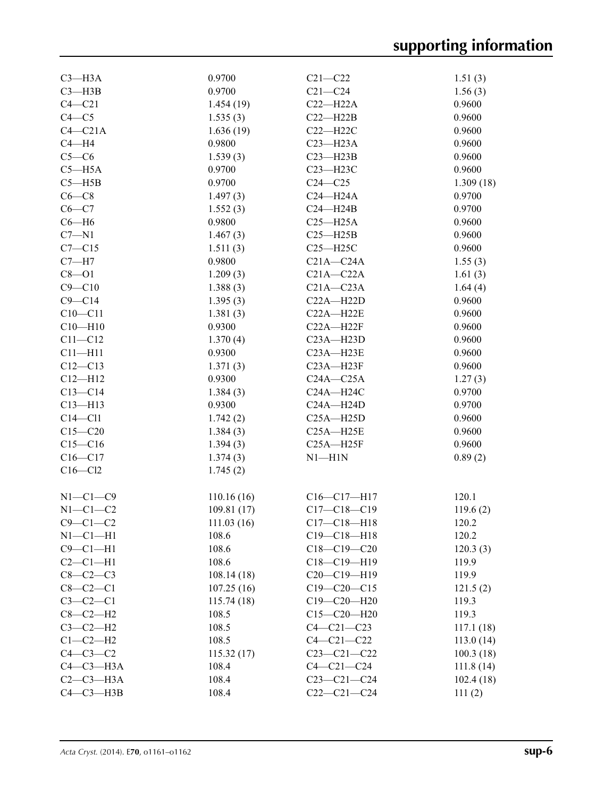| $C3 - H3A$     | 0.9700     | $C21 - C22$       | 1.51(3)   |
|----------------|------------|-------------------|-----------|
| $C3 - H3B$     | 0.9700     | $C21 - C24$       | 1.56(3)   |
| $C4 - C21$     | 1.454(19)  | $C22-H22A$        | 0.9600    |
| $C4 - C5$      | 1.535(3)   | $C22 - H22B$      | 0.9600    |
| $C4 - C21A$    | 1.636(19)  | $C22 - H22C$      | 0.9600    |
| $C4 - H4$      | 0.9800     | $C23 - H23A$      | 0.9600    |
| $C5-C6$        | 1.539(3)   | $C23 - H23B$      | 0.9600    |
| $C5 - H5A$     | 0.9700     | $C23 - H23C$      | 0.9600    |
| $C5 - H5B$     | 0.9700     | $C24 - C25$       | 1.309(18) |
| $C6-C8$        | 1.497(3)   | $C24 - H24A$      | 0.9700    |
| $C6-C7$        | 1.552(3)   | $C24 - H24B$      | 0.9700    |
| $C6 - H6$      | 0.9800     | $C25 - H25A$      | 0.9600    |
| $C7 - N1$      | 1.467(3)   | $C25 - H25B$      | 0.9600    |
| $C7 - C15$     | 1.511(3)   | $C25 - H25C$      | 0.9600    |
| $C7 - H7$      | 0.9800     | $C21A - C24A$     | 1.55(3)   |
| $C8 - O1$      | 1.209(3)   | $C21A - C22A$     | 1.61(3)   |
| $C9 - C10$     | 1.388(3)   | $C21A - C23A$     | 1.64(4)   |
| $C9 - C14$     | 1.395(3)   | $C22A - H22D$     | 0.9600    |
| $C10 - C11$    | 1.381(3)   | $C22A - H22E$     | 0.9600    |
| $C10 - H10$    | 0.9300     | $C22A - H22F$     | 0.9600    |
| $C11 - C12$    | 1.370(4)   | $C23A - H23D$     | 0.9600    |
| $C11 - H11$    | 0.9300     | $C23A - H23E$     | 0.9600    |
| $C12 - C13$    | 1.371(3)   | $C23A - H23F$     | 0.9600    |
| $C12 - H12$    | 0.9300     | $C24A - C25A$     | 1.27(3)   |
| $C13-C14$      | 1.384(3)   | $C24A - H24C$     | 0.9700    |
| $C13 - H13$    | 0.9300     | $C24A - H24D$     | 0.9700    |
| $C14 - C11$    | 1.742(2)   | $C25A - H25D$     | 0.9600    |
| $C15 - C20$    | 1.384(3)   | $C25A - H25E$     | 0.9600    |
| $C15 - C16$    | 1.394(3)   | $C25A - H25F$     | 0.9600    |
| $C16 - C17$    | 1.374(3)   | $N1 - H1N$        | 0.89(2)   |
| $C16 - C12$    | 1.745(2)   |                   |           |
|                |            |                   |           |
| $N1-C1-C9$     | 110.16(16) | $C16-C17-H17$     | 120.1     |
| $N1-C1-C2$     | 109.81(17) | $C17 - C18 - C19$ | 119.6(2)  |
| $C9 - C1 - C2$ | 111.03(16) | $C17 - C18 - H18$ | 120.2     |
| $N1 - C1 - H1$ | 108.6      | $C19 - C18 - H18$ | 120.2     |
| $C9 - C1 - H1$ | 108.6      | $C18 - C19 - C20$ | 120.3(3)  |
| $C2-C1-H1$     | 108.6      | $C18 - C19 - H19$ | 119.9     |
| $C8-C2-C3$     | 108.14(18) | $C20-C19-H19$     | 119.9     |
| $C8-C2-C1$     | 107.25(16) | $C19 - C20 - C15$ | 121.5(2)  |
| $C3-C2-C1$     | 115.74(18) | $C19 - C20 - H20$ | 119.3     |
| $C8-C2-H2$     | 108.5      | $C15 - C20 - H20$ | 119.3     |
| $C3-C2-H2$     | 108.5      | $C4 - C21 - C23$  | 117.1(18) |
| $C1-C2-H2$     | 108.5      | $C4 - C21 - C22$  | 113.0(14) |
| $C4-C3-C2$     | 115.32(17) | $C23 - C21 - C22$ | 100.3(18) |
| $C4-C3-H3A$    | 108.4      | $C4 - C21 - C24$  | 111.8(14) |
| $C2-C3-H3A$    | 108.4      | $C23 - C21 - C24$ | 102.4(18) |
| $C4-C3-H3B$    | 108.4      | $C22-C21-C24$     | 111(2)    |
|                |            |                   |           |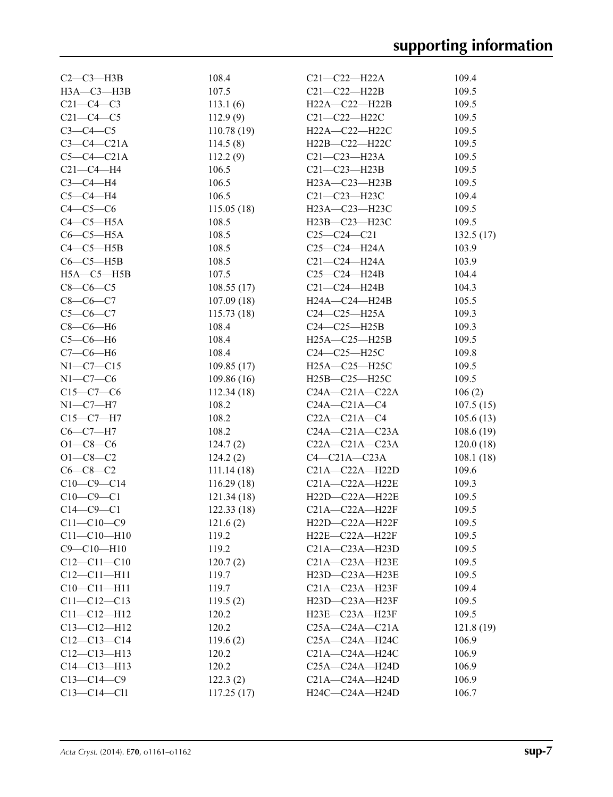| $C2-C3-H3B$       | 108.4       | C21-C22-H22A         | 109.4     |
|-------------------|-------------|----------------------|-----------|
| $H3A-C3-H3B$      | 107.5       | $C21 - C22 - H22B$   | 109.5     |
| $C21-C4-C3$       | 113.1(6)    | H22A-C22-H22B        | 109.5     |
| $C21 - C4 - C5$   | 112.9(9)    | $C21 - C22 - H22C$   | 109.5     |
| $C3-C4-C5$        | 110.78(19)  | H22A-C22-H22C        | 109.5     |
| $C3-C4-C21A$      | 114.5(8)    | H22B-C22-H22C        | 109.5     |
| $C5-C4-C21A$      | 112.2(9)    | C21-C23-H23A         | 109.5     |
| $C21 - C4 - H4$   | 106.5       | $C21 - C23 - H23B$   | 109.5     |
| $C3-C4-H4$        | 106.5       | H23A-C23-H23B        | 109.5     |
| $C5-C4-H4$        | 106.5       | $C21 - C23 - H23C$   | 109.4     |
| $C4-C5-C6$        | 115.05(18)  | H23A-C23-H23C        | 109.5     |
| $C4-C5-H5A$       | 108.5       | H23B—C23—H23C        | 109.5     |
| $C6-C5-H5A$       | 108.5       | $C25-C24-C21$        | 132.5(17) |
| $C4-C5-H5B$       | 108.5       | C25-C24-H24A         | 103.9     |
| $C6-C5-H5B$       | 108.5       | C21-C24-H24A         | 103.9     |
| $H5A-C5-H5B$      | 107.5       | $C25 - C24 - H24B$   | 104.4     |
| $C8-C6-C5$        | 108.55(17)  | $C21 - C24 - H24B$   | 104.3     |
| $C8-C6-C7$        | 107.09(18)  | H24A-C24-H24B        | 105.5     |
| $C5-C6-C7$        | 115.73(18)  | $C24 - C25 - H25A$   | 109.3     |
| $C8-C6-H6$        | 108.4       | $C24 - C25 - H25B$   | 109.3     |
| $C5-C6-H6$        | 108.4       | H25A-C25-H25B        | 109.5     |
| $C7-C6-H6$        | 108.4       | C24-C25-H25C         | 109.8     |
| $N1 - C7 - C15$   | 109.85(17)  | H25A-C25-H25C        | 109.5     |
| $N1-C7-C6$        | 109.86(16)  | H25B-C25-H25C        | 109.5     |
| $C15-C7-C6$       | 112.34(18)  | $C24A - C21A - C22A$ | 106(2)    |
| $N1-C7-H7$        | 108.2       | $C24A - C21A - C4$   | 107.5(15) |
| $C15-C7-H7$       | 108.2       | $C22A - C21A - C4$   | 105.6(13) |
| $C6-C7-H7$        | 108.2       | $C24A - C21A - C23A$ | 108.6(19) |
| $O1 - C8 - C6$    | 124.7(2)    | $C22A - C21A - C23A$ | 120.0(18) |
| $O1 - C8 - C2$    | 124.2(2)    | $C4-C21A-C23A$       | 108.1(18) |
| $C6 - C8 - C2$    | 111.14(18)  | $C21A - C22A - H22D$ | 109.6     |
| $C10-C9-C14$      | 116.29 (18) | $C21A - C22A - H22E$ | 109.3     |
| $C10-C9-C1$       | 121.34(18)  | H22D-C22A-H22E       | 109.5     |
| $C14-C9-C1$       | 122.33(18)  | $C21A - C22A - H22F$ | 109.5     |
| $C11 - C10 - C9$  | 121.6(2)    | H22D-C22A-H22F       | 109.5     |
| $C11 - C10 - H10$ | 119.2       | $H22E-C22A-H22F$     | 109.5     |
| $C9 - C10 - H10$  | 119.2       | $C21A - C23A - H23D$ | 109.5     |
| $C12 - C11 - C10$ | 120.7(2)    | C21A-C23A-H23E       | 109.5     |
| $C12 - C11 - H11$ | 119.7       | H23D-C23A-H23E       | 109.5     |
| $C10 - C11 - H11$ | 119.7       | $C21A - C23A - H23F$ | 109.4     |
| $C11 - C12 - C13$ | 119.5(2)    | $H23D-C23A-H23F$     | 109.5     |
| $C11 - C12 - H12$ | 120.2       | H23E-C23A-H23F       | 109.5     |
| $C13 - C12 - H12$ | 120.2       | $C25A - C24A - C21A$ | 121.8(19) |
| $C12-C13-C14$     | 119.6(2)    | C25A-C24A-H24C       | 106.9     |
| $C12-C13-H13$     | 120.2       | C21A-C24A-H24C       | 106.9     |
| $C14 - C13 - H13$ | 120.2       | $C25A - C24A - H24D$ | 106.9     |
| $C13 - C14 - C9$  | 122.3(2)    | C21A-C24A-H24D       | 106.9     |
| $C13 - C14 - C11$ | 117.25(17)  | H24C-C24A-H24D       | 106.7     |
|                   |             |                      |           |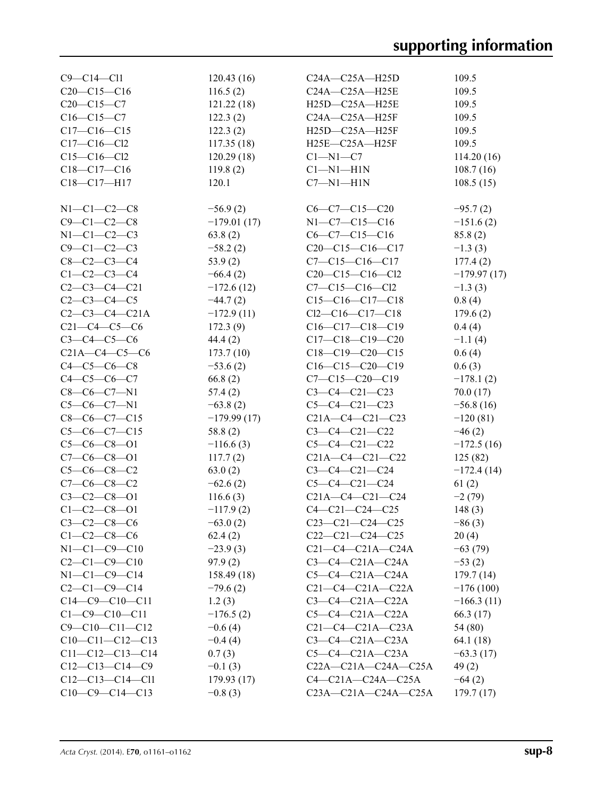| $C9 - C14 - C11$       | 120.43(16)    | C24A-C25A-H25D              | 109.5         |
|------------------------|---------------|-----------------------------|---------------|
| $C20-C15-C16$          | 116.5(2)      | C24A-C25A-H25E              | 109.5         |
| $C20-C15-C7$           | 121.22(18)    | H25D-C25A-H25E              | 109.5         |
| $C16 - C15 - C7$       | 122.3(2)      | C24A-C25A-H25F              | 109.5         |
| $C17 - C16 - C15$      | 122.3(2)      | H25D-C25A-H25F              | 109.5         |
| $C17 - C16 - C12$      | 117.35(18)    | H25E-C25A-H25F              | 109.5         |
| $C15 - C16 - C12$      | 120.29(18)    | $C1 - N1 - C7$              | 114.20(16)    |
| $C18 - C17 - C16$      | 119.8(2)      | $Cl-M1-H1N$                 | 108.7(16)     |
| C18-C17-H17            | 120.1         | $C7 - N1 - H1N$             | 108.5(15)     |
|                        |               |                             |               |
| $N1-C1-C2-C8$          | $-56.9(2)$    | $C6-C7-C15-C20$             | $-95.7(2)$    |
| $C9 - C1 - C2 - C8$    | $-179.01(17)$ | $N1-C7-C15-C16$             | $-151.6(2)$   |
| $N1 - C1 - C2 - C3$    | 63.8(2)       | $C6-C7-C15-C16$             | 85.8(2)       |
| $C9 - C1 - C2 - C3$    | $-58.2(2)$    | $C20-C15-C16-C17$           | $-1.3(3)$     |
| $C8 - C2 - C3 - C4$    | 53.9(2)       | $C7 - C15 - C16 - C17$      | 177.4(2)      |
| $C1 - C2 - C3 - C4$    | $-66.4(2)$    | $C20-C15-C16-C12$           | $-179.97(17)$ |
| $C2 - C3 - C4 - C21$   | $-172.6(12)$  | $C7 - C15 - C16 - C12$      | $-1.3(3)$     |
| $C2 - C3 - C4 - C5$    | $-44.7(2)$    | $C15-C16-C17-C18$           | 0.8(4)        |
| $C2 - C3 - C4 - C21A$  | $-172.9(11)$  | $Cl2-C16-C17-C18$           | 179.6(2)      |
| $C21-C4-C5-C6$         | 172.3(9)      | $C16-C17-C18-C19$           | 0.4(4)        |
| $C3 - C4 - C5 - C6$    | 44.4(2)       | $C17-C18-C19-C20$           | $-1.1(4)$     |
| $C21A - C4 - C5 - C6$  | 173.7(10)     | $C18-C19-C20-C15$           | 0.6(4)        |
| $C4 - C5 - C6 - C8$    | $-53.6(2)$    | $C16-C15-C20-C19$           | 0.6(3)        |
| $C4 - C5 - C6 - C7$    | 66.8(2)       | $C7 - C15 - C20 - C19$      | $-178.1(2)$   |
| $C8-C6-C7-N1$          | 57.4(2)       | $C3 - C4 - C21 - C23$       | 70.0(17)      |
| $C5-C6-C7-N1$          | $-63.8(2)$    | $C5-C4-C21-C23$             | $-56.8(16)$   |
| $C8-C6-C7-C15$         | $-179.99(17)$ | $C21A - C4 - C21 - C23$     | $-120(81)$    |
| $C5-C6-C7-C15$         | 58.8(2)       | $C3 - C4 - C21 - C22$       | $-46(2)$      |
| $C5-C6-C8-O1$          | $-116.6(3)$   | $C5-C4-C21-C22$             | $-172.5(16)$  |
| $C7-C6-C8-O1$          | 117.7(2)      | $C21A - C4 - C21 - C22$     | 125(82)       |
| $C5-C6-C8-C2$          | 63.0(2)       | $C3 - C4 - C21 - C24$       | $-172.4(14)$  |
| $C7-C6-C8-C2$          | $-62.6(2)$    | $C5-C4-C21-C24$             | 61(2)         |
| $C3 - C2 - C8 - 01$    | 116.6(3)      | $C21A - C4 - C21 - C24$     | $-2(79)$      |
| $C1 - C2 - C8 - 01$    | $-117.9(2)$   | $C4 - C21 - C24 - C25$      | 148(3)        |
| $C3 - C2 - C8 - C6$    | $-63.0(2)$    | $C23-C21-C24-C25$           | $-86(3)$      |
| $C1 - C2 - C8 - C6$    | 62.4(2)       | $C22-C21-C24-C25$           | 20(4)         |
| $N1-C1-C9-C10$         | $-23.9(3)$    | $C21-C4-C21A-C24A$          | $-63(79)$     |
| $C2 - C1 - C9 - C10$   | 97.9(2)       | $C3-C4-C21A-C24A$           | $-53(2)$      |
| $N1-C1-C9-C14$         | 158.49 (18)   | $C5-C4-C21A-C24A$           | 179.7(14)     |
| $C2 - C1 - C9 - C14$   | $-79.6(2)$    | $C21-C4-C21A-C22A$          | $-176(100)$   |
| $C14-C9-C10-C11$       | 1.2(3)        | $C3-C4-C21A-C22A$           | $-166.3(11)$  |
| $C1 - C9 - C10 - C11$  | $-176.5(2)$   | $C5-C4-C21A-C22A$           | 66.3 (17)     |
| $C9 - C10 - C11 - C12$ | $-0.6(4)$     | $C21-C4-C21A-C23A$          | 54 (80)       |
| $C10-C11-C12-C13$      | $-0.4(4)$     | $C3-C4-C21A-C23A$           | 64.1 (18)     |
| $C11-C12-C13-C14$      | 0.7(3)        | $C5-C4-C21A-C23A$           | $-63.3(17)$   |
| $C12-C13-C14-C9$       | $-0.1(3)$     | $C22A - C21A - C24A - C25A$ | 49(2)         |
| $C12-C13-C14-C11$      | 179.93 (17)   | $C4-C21A-C24A-C25A$         | $-64(2)$      |
| $C10-C9-C14-C13$       | $-0.8(3)$     | $C23A - C21A - C24A - C25A$ | 179.7(17)     |